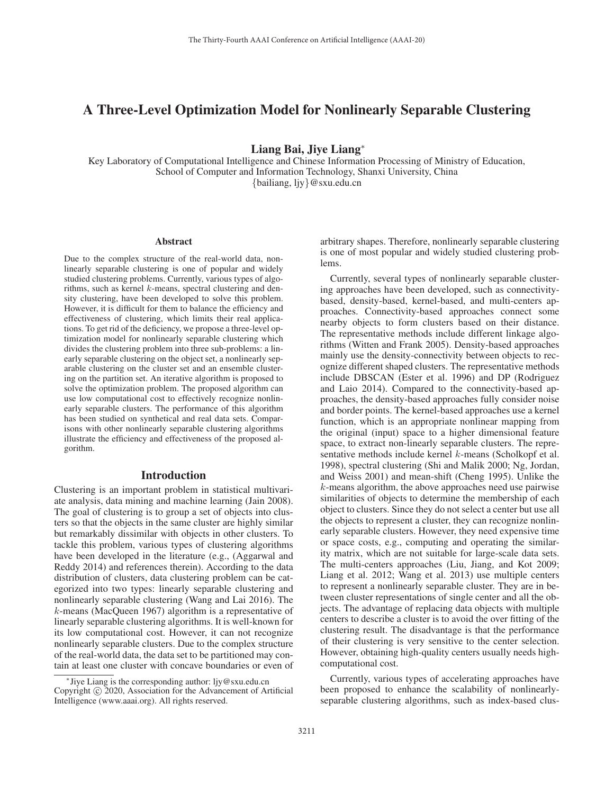# A Three-Level Optimization Model for Nonlinearly Separable Clustering

Liang Bai, Jiye Liang<sup>∗</sup>

Key Laboratory of Computational Intelligence and Chinese Information Processing of Ministry of Education, School of Computer and Information Technology, Shanxi University, China {bailiang, ljy}@sxu.edu.cn

#### Abstract

Due to the complex structure of the real-world data, nonlinearly separable clustering is one of popular and widely studied clustering problems. Currently, various types of algorithms, such as kernel k-means, spectral clustering and density clustering, have been developed to solve this problem. However, it is difficult for them to balance the efficiency and effectiveness of clustering, which limits their real applications. To get rid of the deficiency, we propose a three-level optimization model for nonlinearly separable clustering which divides the clustering problem into three sub-problems: a linearly separable clustering on the object set, a nonlinearly separable clustering on the cluster set and an ensemble clustering on the partition set. An iterative algorithm is proposed to solve the optimization problem. The proposed algorithm can use low computational cost to effectively recognize nonlinearly separable clusters. The performance of this algorithm has been studied on synthetical and real data sets. Comparisons with other nonlinearly separable clustering algorithms illustrate the efficiency and effectiveness of the proposed algorithm.

## Introduction

Clustering is an important problem in statistical multivariate analysis, data mining and machine learning (Jain 2008). The goal of clustering is to group a set of objects into clusters so that the objects in the same cluster are highly similar but remarkably dissimilar with objects in other clusters. To tackle this problem, various types of clustering algorithms have been developed in the literature (e.g., (Aggarwal and Reddy 2014) and references therein). According to the data distribution of clusters, data clustering problem can be categorized into two types: linearly separable clustering and nonlinearly separable clustering (Wang and Lai 2016). The k-means (MacQueen 1967) algorithm is a representative of linearly separable clustering algorithms. It is well-known for its low computational cost. However, it can not recognize nonlinearly separable clusters. Due to the complex structure of the real-world data, the data set to be partitioned may contain at least one cluster with concave boundaries or even of arbitrary shapes. Therefore, nonlinearly separable clustering is one of most popular and widely studied clustering problems.

Currently, several types of nonlinearly separable clustering approaches have been developed, such as connectivitybased, density-based, kernel-based, and multi-centers approaches. Connectivity-based approaches connect some nearby objects to form clusters based on their distance. The representative methods include different linkage algorithms (Witten and Frank 2005). Density-based approaches mainly use the density-connectivity between objects to recognize different shaped clusters. The representative methods include DBSCAN (Ester et al. 1996) and DP (Rodriguez and Laio 2014). Compared to the connectivity-based approaches, the density-based approaches fully consider noise and border points. The kernel-based approaches use a kernel function, which is an appropriate nonlinear mapping from the original (input) space to a higher dimensional feature space, to extract non-linearly separable clusters. The representative methods include kernel k-means (Scholkopf et al. 1998), spectral clustering (Shi and Malik 2000; Ng, Jordan, and Weiss 2001) and mean-shift (Cheng 1995). Unlike the k-means algorithm, the above approaches need use pairwise similarities of objects to determine the membership of each object to clusters. Since they do not select a center but use all the objects to represent a cluster, they can recognize nonlinearly separable clusters. However, they need expensive time or space costs, e.g., computing and operating the similarity matrix, which are not suitable for large-scale data sets. The multi-centers approaches (Liu, Jiang, and Kot 2009; Liang et al. 2012; Wang et al. 2013) use multiple centers to represent a nonlinearly separable cluster. They are in between cluster representations of single center and all the objects. The advantage of replacing data objects with multiple centers to describe a cluster is to avoid the over fitting of the clustering result. The disadvantage is that the performance of their clustering is very sensitive to the center selection. However, obtaining high-quality centers usually needs highcomputational cost.

Currently, various types of accelerating approaches have been proposed to enhance the scalability of nonlinearlyseparable clustering algorithms, such as index-based clus-

<sup>∗</sup>Jiye Liang is the corresponding author: ljy@sxu.edu.cn Copyright  $\odot$  2020, Association for the Advancement of Artificial Intelligence (www.aaai.org). All rights reserved.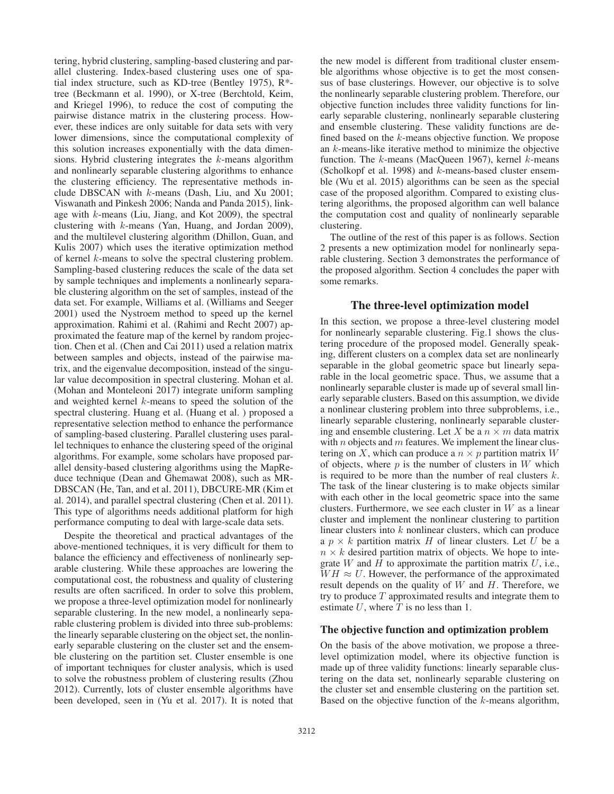tering, hybrid clustering, sampling-based clustering and parallel clustering. Index-based clustering uses one of spatial index structure, such as KD-tree (Bentley 1975), R\* tree (Beckmann et al. 1990), or X-tree (Berchtold, Keim, and Kriegel 1996), to reduce the cost of computing the pairwise distance matrix in the clustering process. However, these indices are only suitable for data sets with very lower dimensions, since the computational complexity of this solution increases exponentially with the data dimensions. Hybrid clustering integrates the k-means algorithm and nonlinearly separable clustering algorithms to enhance the clustering efficiency. The representative methods include DBSCAN with k-means (Dash, Liu, and Xu 2001; Viswanath and Pinkesh 2006; Nanda and Panda 2015), linkage with k-means (Liu, Jiang, and Kot 2009), the spectral clustering with k-means (Yan, Huang, and Jordan 2009), and the multilevel clustering algorithm (Dhillon, Guan, and Kulis 2007) which uses the iterative optimization method of kernel k-means to solve the spectral clustering problem. Sampling-based clustering reduces the scale of the data set by sample techniques and implements a nonlinearly separable clustering algorithm on the set of samples, instead of the data set. For example, Williams et al. (Williams and Seeger 2001) used the Nystroem method to speed up the kernel approximation. Rahimi et al. (Rahimi and Recht 2007) approximated the feature map of the kernel by random projection. Chen et al. (Chen and Cai 2011) used a relation matrix between samples and objects, instead of the pairwise matrix, and the eigenvalue decomposition, instead of the singular value decomposition in spectral clustering. Mohan et al. (Mohan and Monteleoni 2017) integrate uniform sampling and weighted kernel k-means to speed the solution of the spectral clustering. Huang et al. (Huang et al. ) proposed a representative selection method to enhance the performance of sampling-based clustering. Parallel clustering uses parallel techniques to enhance the clustering speed of the original algorithms. For example, some scholars have proposed parallel density-based clustering algorithms using the MapReduce technique (Dean and Ghemawat 2008), such as MR-DBSCAN (He, Tan, and et al. 2011), DBCURE-MR (Kim et al. 2014), and parallel spectral clustering (Chen et al. 2011). This type of algorithms needs additional platform for high performance computing to deal with large-scale data sets.

Despite the theoretical and practical advantages of the above-mentioned techniques, it is very difficult for them to balance the efficiency and effectiveness of nonlinearly separable clustering. While these approaches are lowering the computational cost, the robustness and quality of clustering results are often sacrificed. In order to solve this problem, we propose a three-level optimization model for nonlinearly separable clustering. In the new model, a nonlinearly separable clustering problem is divided into three sub-problems: the linearly separable clustering on the object set, the nonlinearly separable clustering on the cluster set and the ensemble clustering on the partition set. Cluster ensemble is one of important techniques for cluster analysis, which is used to solve the robustness problem of clustering results (Zhou 2012). Currently, lots of cluster ensemble algorithms have been developed, seen in (Yu et al. 2017). It is noted that

the new model is different from traditional cluster ensemble algorithms whose objective is to get the most consensus of base clusterings. However, our objective is to solve the nonlinearly separable clustering problem. Therefore, our objective function includes three validity functions for linearly separable clustering, nonlinearly separable clustering and ensemble clustering. These validity functions are defined based on the k-means objective function. We propose an k-means-like iterative method to minimize the objective function. The  $k$ -means (MacQueen 1967), kernel  $k$ -means (Scholkopf et al. 1998) and  $k$ -means-based cluster ensemble (Wu et al. 2015) algorithms can be seen as the special case of the proposed algorithm. Compared to existing clustering algorithms, the proposed algorithm can well balance the computation cost and quality of nonlinearly separable clustering.

The outline of the rest of this paper is as follows. Section 2 presents a new optimization model for nonlinearly separable clustering. Section 3 demonstrates the performance of the proposed algorithm. Section 4 concludes the paper with some remarks.

# The three-level optimization model

In this section, we propose a three-level clustering model for nonlinearly separable clustering. Fig.1 shows the clustering procedure of the proposed model. Generally speaking, different clusters on a complex data set are nonlinearly separable in the global geometric space but linearly separable in the local geometric space. Thus, we assume that a nonlinearly separable cluster is made up of several small linearly separable clusters. Based on this assumption, we divide a nonlinear clustering problem into three subproblems, i.e., linearly separable clustering, nonlinearly separable clustering and ensemble clustering. Let X be a  $n \times m$  data matrix with  $n$  objects and  $m$  features. We implement the linear clustering on X, which can produce a  $n \times p$  partition matrix W of objects, where  $p$  is the number of clusters in  $W$  which is required to be more than the number of real clusters k. The task of the linear clustering is to make objects similar with each other in the local geometric space into the same clusters. Furthermore, we see each cluster in  $W$  as a linear cluster and implement the nonlinear clustering to partition linear clusters into k nonlinear clusters, which can produce a  $p \times k$  partition matrix H of linear clusters. Let U be a  $n \times k$  desired partition matrix of objects. We hope to integrate  $W$  and  $H$  to approximate the partition matrix  $U$ , i.e.,  $WH \approx U$ . However, the performance of the approximated result depends on the quality of  $W$  and  $H$ . Therefore, we try to produce  $T$  approximated results and integrate them to estimate  $U$ , where  $T$  is no less than 1.

### The objective function and optimization problem

On the basis of the above motivation, we propose a threelevel optimization model, where its objective function is made up of three validity functions: linearly separable clustering on the data set, nonlinearly separable clustering on the cluster set and ensemble clustering on the partition set. Based on the objective function of the  $k$ -means algorithm,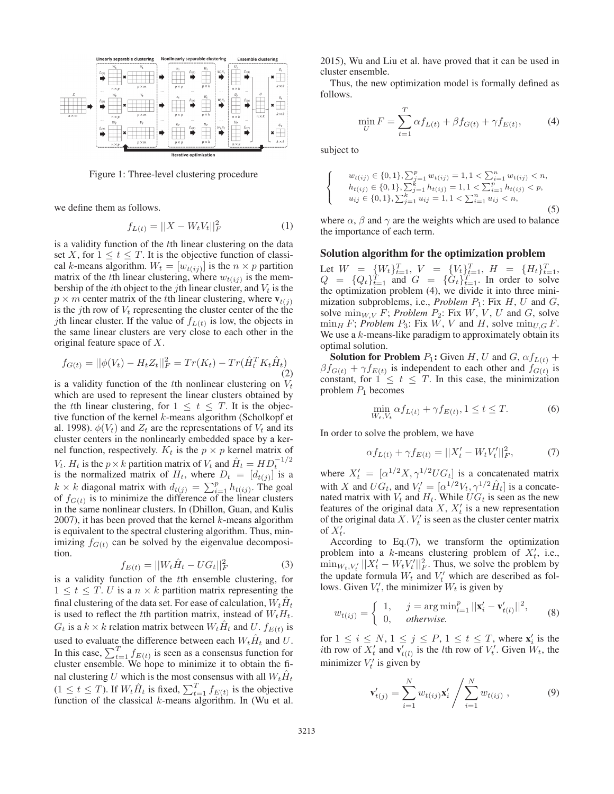

Figure 1: Three-level clustering procedure

we define them as follows.

$$
f_{L(t)} = ||X - W_t V_t||_F^2
$$
 (1)

is a validity function of the tth linear clustering on the data set X, for  $1 \le t \le T$ . It is the objective function of classical k-means algorithm.  $W_t = [w_{t(i)}]$  is the  $n \times p$  partition matrix of the tth linear clustering, where  $w_{t(ij)}$  is the membership of the *i*th object to the *j*th linear cluster, and  $V_t$  is the  $p \times m$  center matrix of the tth linear clustering, where  $\mathbf{v}_{t(j)}$ is the jth row of  $V_t$  representing the cluster center of the the *j*th linear cluster. If the value of  $f_{L(t)}$  is low, the objects in the same linear clusters are very close to each other in the original feature space of X.

$$
f_{G(t)} = ||\phi(V_t) - H_t Z_t||_F^2 = Tr(K_t) - Tr(\hat{H}_t^T K_t \hat{H}_t)
$$
\n(2)

is a validity function of the tth nonlinear clustering on  $V_t$ which are used to represent the linear clusters obtained by the tth linear clustering, for  $1 \le t \le T$ . It is the objective function of the kernel  $k$ -means algorithm (Scholkopf et al. 1998).  $\phi(V_t)$  and  $Z_t$  are the representations of  $V_t$  and its cluster centers in the nonlinearly embedded space by a kernel function, respectively.  $K_t$  is the  $p \times p$  kernel matrix of  $V_t$ .  $H_t$  is the  $p \times k$  partition matrix of  $V_t$  and  $\hat{H}_t = H D_t^{-1/2}$ <br>is the normalized matrix of  $H_t$ , where  $D_t = [d_t c_t]$  is a is the normalized matrix of  $H_t$ , where  $D_t = [d_{t(j)}]$  is a  $k \times k$  diagonal matrix with  $d_{t(j)} = \sum_{i=1}^{p} h_{t(ij)}$ . The goal of  $f_{G(i)}$  is to minimize the difference of the linear clusters of  $f_{G(t)}$  is to minimize the difference of the linear clusters in the same nonlinear clusters. In (Dhillon, Guan, and Kulis 2007), it has been proved that the kernel  $k$ -means algorithm is equivalent to the spectral clustering algorithm. Thus, minimizing  $f_{G(t)}$  can be solved by the eigenvalue decomposition.

$$
f_{E(t)} = ||W_t \hat{H}_t - U G_t||_F^2
$$
 (3)

 $f_{E(t)} = ||W_t \hat{H}_t - U G_t||_F^2$  (3)<br>is a validity function of the *t*th ensemble clustering, for  $1 \leq t \leq T$ . U is a  $n \times k$  partition matrix representing the final clustering of the data set. For ease of calculation,  $W_tH_t$ is used to reflect the tth partition matrix, instead of  $W_tH_t$ .  $G_t$  is a  $k \times k$  relation matrix between  $W_t H_t$  and U.  $f_{E(t)}$  is used to evaluate the difference between each  $W_t\hat{H}_t$  and U.<br>In this case,  $\sum_{t=1}^T f_{E(t)}$  is seen as a consensus function for cluster ensemble. We hope to minimize it to obtain the final clustering U which is the most consensus with all  $W_t\hat{H}_t$  $(1 \le t \le T)$ . If  $W_t \hat{H}_t$  is fixed,  $\sum_{t=1}^T f_{E(t)}$  is the objective function of the classical k-means algorithm. In (Wu et al. function of the classical k-means algorithm. In (Wu et al.

2015), Wu and Liu et al. have proved that it can be used in cluster ensemble.

Thus, the new optimization model is formally defined as follows.

$$
\min_{U} F = \sum_{t=1}^{T} \alpha f_{L(t)} + \beta f_{G(t)} + \gamma f_{E(t)},
$$
\n(4)

subject to

 $\Gamma$  $\overline{J}$  $\mathsf{L}$ 

$$
w_{t(ij)} \in \{0, 1\}, \sum_{j=1}^{p} w_{t(ij)} = 1, 1 < \sum_{i=1}^{n} w_{t(ij)} < n, h_{t(ij)} \in \{0, 1\}, \sum_{j=1}^{k} h_{t(ij)} = 1, 1 < \sum_{i=1}^{p} h_{t(ij)} < p, u_{ij} \in \{0, 1\}, \sum_{j=1}^{k} u_{ij} = 1, 1 < \sum_{i=1}^{n} u_{ij} < n,
$$
\n
$$
(5)
$$

where  $\alpha$ ,  $\beta$  and  $\gamma$  are the weights which are used to balance the importance of each term.

#### Solution algorithm for the optimization problem

Let  $W = \{W_t\}_{t=1}^T$ ,  $V = \{V_t\}_{t=1}^T$ ,  $H = \{H_t\}_{t=1}^T$ ,  $Q = \{Q_t\}_{t=1}^T$ , and  $G = \{G_t\}_{t=1}^T$ . In order to solve  $Q = \{Q_t\}_{t=1}^T$  and  $G = \{G_t\}_{t=1}^T$ . In order to solve<br>the optimization problem (4) we divide it into three minithe optimization problem (4), we divide it into three minimization subproblems, i.e., *Problem P*<sub>1</sub>: Fix *H*, *U* and *G*, solve  $\min_{W,V} F$ ; *Problem P*<sub>2</sub>: Fix W, V, U and G, solve  $\min_H F$ ; *Problem*  $P_3$ : Fix W, V and H, solve  $\min_{U,G} F$ . We use a  $k$ -means-like paradigm to approximately obtain its optimal solution.

**Solution for Problem**  $P_1$ : Given H, U and G,  $\alpha f_{L(t)}$  +  $\beta f_{G(t)} + \gamma f_{E(t)}$  is independent to each other and  $f_{G(t)}$  is constant, for  $1 \le t \le T$ . In this case, the minimization problem  $P_1$  becomes

$$
\min_{W_t, V_t} \alpha f_{L(t)} + \gamma f_{E(t)}, 1 \le t \le T.
$$
\n<sup>(6)</sup>

In order to solve the problem, we have

$$
\alpha f_{L(t)} + \gamma f_{E(t)} = ||X'_t - W_t V'_t||_F^2, \tag{7}
$$

where  $X'_t = [\alpha^{1/2} X, \gamma^{1/2} U G_t]$  is a concatenated matrix<br>with X and  $U G$  and  $V' = [\alpha^{1/2} V, \alpha^{1/2} \hat{U}]$  is a concept. with X and  $UG_t$ , and  $V'_t = [\alpha^{1/2} V_t, \gamma^{1/2} \hat{H}_t]$  is a concate-<br>nated matrix with V, and H, While  $UG_t$  is seen as the new nated matrix with  $V_t$  and  $H_t$ . While  $UG_t$  is seen as the new features of the original data  $X$ ,  $X'_t$  is a new representation of the original data  $X$ .  $V_t$  is seen as the cluster center matrix of  $X'_t$ .

According to Eq.(7), we transform the optimization problem into a k-means clustering problem of  $X'_t$ , i.e.,  $\min_{W_t, V'_t} ||A_t - W_t V_t||_F$ . Thus, we solve the problem by the update formula  $W_t$  and  $V'_t$  which are described as fol- $\mathbb{E}_t^{\prime} ||X_t^{\prime} - W_t V_t^{\prime} ||_F^2$ . Thus, we solve the problem by lows. Given  $V'_t$ , the minimizer  $W_t$  is given by

$$
w_{t(ij)} = \begin{cases} 1, & j = \arg \min_{l=1}^{p} ||\mathbf{x}'_i - \mathbf{v}'_{t(l)}||^2, \\ 0, & otherwise. \end{cases}
$$
(8)

for  $1 \le i \le N$ ,  $1 \le j \le P$ ,  $1 \le t \le T$ , where  $\mathbf{x}'_i$  is the *i*th row of *V'* Given *W<sub>t</sub>* the *i*th row of *V'* Given *W<sub>t</sub>* the *i*th row of  $\overline{X'_t}$  and  $\overline{v'_{t(t)}}$  is the *l*th row of  $V'_t$ . Given  $W_t$ , the minimizer  $V_t$  is given by

$$
\mathbf{v}'_{t(j)} = \sum_{i=1}^{N} w_{t(ij)} \mathbf{x}'_i / \sum_{i=1}^{N} w_{t(ij)} , \qquad (9)
$$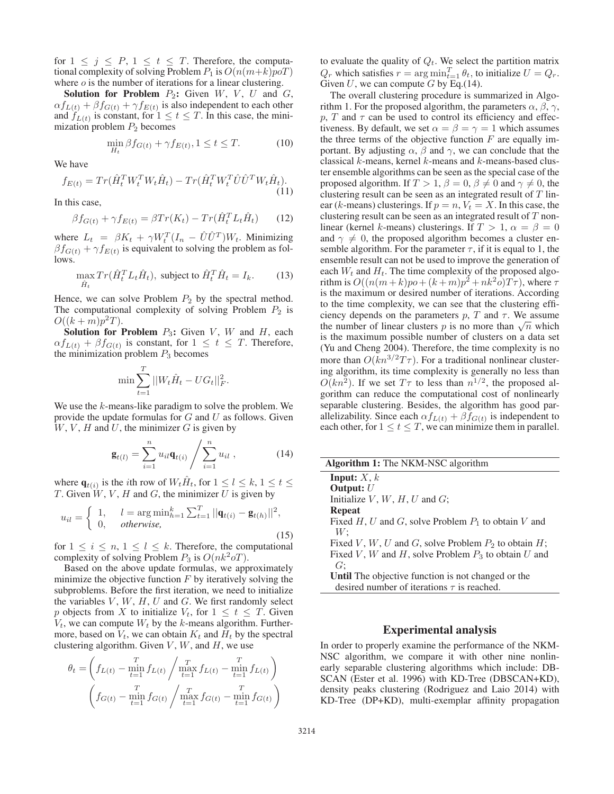for  $1 \leq j \leq P$ ,  $1 \leq t \leq T$ . Therefore, the computational complexity of solving Problem  $P_1$  is  $O(n(m+k)poT)$ where  $o$  is the number of iterations for a linear clustering.

Solution for Problem  $P_2$ : Given  $W$ ,  $V$ ,  $U$  and  $G$ ,  $\alpha f_{L(t)} + \beta f_{G(t)} + \gamma f_{E(t)}$  is also independent to each other and  $f_{L(t)}$  is constant, for  $1 \le t \le T$ . In this case, the minimization problem  $P_2$  becomes

$$
\min_{H_t} \beta f_{G(t)} + \gamma f_{E(t)}, 1 \le t \le T.
$$
 (10)

We have

$$
f_{E(t)} = Tr(\hat{H}_t^T W_t^T W_t \hat{H}_t) - Tr(\hat{H}_t^T W_t^T \hat{U} \hat{U}^T W_t \hat{H}_t).
$$
\n(11)

In this case,

$$
\beta f_{G(t)} + \gamma f_{E(t)} = \beta Tr(K_t) - Tr(\hat{H}_t^T L_t \hat{H}_t)
$$
(12)

where  $L_t = \beta K_t + \gamma W_t^T (I_n - \hat{U}\hat{U}^T) W_t$ . Minimizing  $\beta f_{\alpha(t)} + \gamma f_{\alpha(t)}$  is equivalent to solving the problem as fol- $\beta f_{G(t)} + \gamma f_{E(t)}$  is equivalent to solving the problem as follows.

$$
\max_{\hat{H}_t} Tr(\hat{H}_t^T L_t \hat{H}_t), \text{ subject to } \hat{H}_t^T \hat{H}_t = I_k.
$$
 (13)

Hence, we can solve Problem  $P_2$  by the spectral method. The computational complexity of solving Problem  $P_2$  is  $O((k+m)p^{2}T).$ 

**Solution for Problem**  $P_3$ : Given V, W and H, each  $\alpha f_{L(t)} + \beta f_{G(t)}$  is constant, for  $1 \leq t \leq T$ . Therefore, the minimization problem  $P_3$  becomes

$$
\min \sum_{t=1}^{T} ||W_t \hat{H}_t - U G_t||_F^2.
$$

We use the k-means-like paradigm to solve the problem. We provide the update formulas for  $G$  and  $U$  as follows. Given  $W, V, H$  and  $U$ , the minimizer  $G$  is given by

$$
\mathbf{g}_{t(l)} = \sum_{i=1}^{n} u_{il} \mathbf{q}_{t(i)} / \sum_{i=1}^{n} u_{il} , \qquad (14)
$$

where  $\mathbf{q}_{t(i)}$  is the *i*th row of  $W_t H_t$ , for  $1 \leq l \leq k$ ,  $1 \leq t \leq$ T. Given  $W, V, H$  and G, the minimizer U is given by

$$
u_{il} = \begin{cases} 1, & l = \arg \min_{h=1}^{k} \sum_{t=1}^{T} ||\mathbf{q}_{t(i)} - \mathbf{g}_{t(h)}||^{2}, \\ 0, & otherwise, \end{cases}
$$
(15)

for  $1 \leq i \leq n, 1 \leq l \leq k$ . Therefore, the computational complexity of solving Problem  $P_3$  is  $O(nk^2 oT)$ .

Based on the above update formulas, we approximately minimize the objective function  $F$  by iteratively solving the subproblems. Before the first iteration, we need to initialize the variables  $V, W, H, U$  and  $G$ . We first randomly select p objects from X to initialize  $V_t$ , for  $1 \le t \le T$ . Given  $V_t$ , we can compute  $W_t$  by the k-means algorithm. Furthermore, based on  $V_t$ , we can obtain  $K_t$  and  $H_t$  by the spectral clustering algorithm. Given  $V$ ,  $W$ , and  $H$ , we use

$$
\theta_t = \left( f_{L(t)} - \min_{t=1}^T f_{L(t)} / \max_{t=1}^T f_{L(t)} - \min_{t=1}^T f_{L(t)} \right)
$$

$$
\left( f_{G(t)} - \min_{t=1}^T f_{G(t)} / \max_{t=1}^T f_{G(t)} - \min_{t=1}^T f_{G(t)} \right)
$$

to evaluate the quality of  $Q_t$ . We select the partition matrix  $Q_r$  which satisfies  $r = \arg \min_{t=1}^T \theta_t$ , to initialize  $U = Q_r$ .<br>Given II we can compute G by Eq. (14) Given  $U$ , we can compute  $G$  by Eq.(14).

The overall clustering procedure is summarized in Algorithm 1. For the proposed algorithm, the parameters  $\alpha$ ,  $\beta$ ,  $\gamma$ , p, T and  $\tau$  can be used to control its efficiency and effectiveness. By default, we set  $\alpha = \beta = \gamma = 1$  which assumes the three terms of the objective function  $F$  are equally important. By adjusting  $\alpha$ ,  $\beta$  and  $\gamma$ , we can conclude that the classical k-means, kernel k-means and k-means-based cluster ensemble algorithms can be seen as the special case of the proposed algorithm. If  $T > 1$ ,  $\beta = 0$ ,  $\beta \neq 0$  and  $\gamma \neq 0$ , the clustering result can be seen as an integrated result of  $T$  linear (k-means) clusterings. If  $p = n$ ,  $V_t = X$ . In this case, the clustering result can be seen as an integrated result of T nonlinear (kernel k-means) clusterings. If  $T > 1$ ,  $\alpha = \beta = 0$ and  $\gamma \neq 0$ , the proposed algorithm becomes a cluster ensemble algorithm. For the parameter  $\tau$ , if it is equal to 1, the ensemble result can not be used to improve the generation of each  $W_t$  and  $H_t$ . The time complexity of the proposed algorithm is  $O((n(m+k)po+(k+m)p^2+nk^2o)T\tau)$ , where  $\tau$ is the maximum or desired number of iterations. According to the time complexity, we can see that the clustering efficiency depends on the parameters  $p$ , T and  $\tau$ . We assume the number of linear clusters p is no more than  $\sqrt{n}$  which is the maximum possible number of clusters on a data set (Yu and Cheng 2004). Therefore, the time complexity is no more than  $O(kn^{3/2}T\tau)$ . For a traditional nonlinear clustering algorithm, its time complexity is generally no less than  $O(kn^2)$ . If we set  $T\tau$  to less than  $n^{1/2}$ , the proposed algorithm can reduce the computational cost of nonlinearly separable clustering. Besides, the algorithm has good parallelizability. Since each  $\alpha f_{L(t)} + \beta f_{G(t)}$  is independent to each other, for  $1 \le t \le T$ , we can minimize them in parallel.

| <b>Input:</b> $X, k$                                      |
|-----------------------------------------------------------|
| Output: $U$                                               |
| Initialize $V, W, H, U$ and $G$ ;                         |
| <b>Repeat</b>                                             |
| Fixed H, U and G, solve Problem $P_1$ to obtain V and     |
| W:                                                        |
| Fixed V, W, U and G, solve Problem $P_2$ to obtain H;     |
| Fixed V, W and H, solve Problem $P_3$ to obtain U and     |
| G:                                                        |
| <b>Until</b> The objective function is not changed or the |
| desired number of iterations $\tau$ is reached.           |

#### Experimental analysis

In order to properly examine the performance of the NKM-NSC algorithm, we compare it with other nine nonlinearly separable clustering algorithms which include: DB-SCAN (Ester et al. 1996) with KD-Tree (DBSCAN+KD), density peaks clustering (Rodriguez and Laio 2014) with KD-Tree (DP+KD), multi-exemplar affinity propagation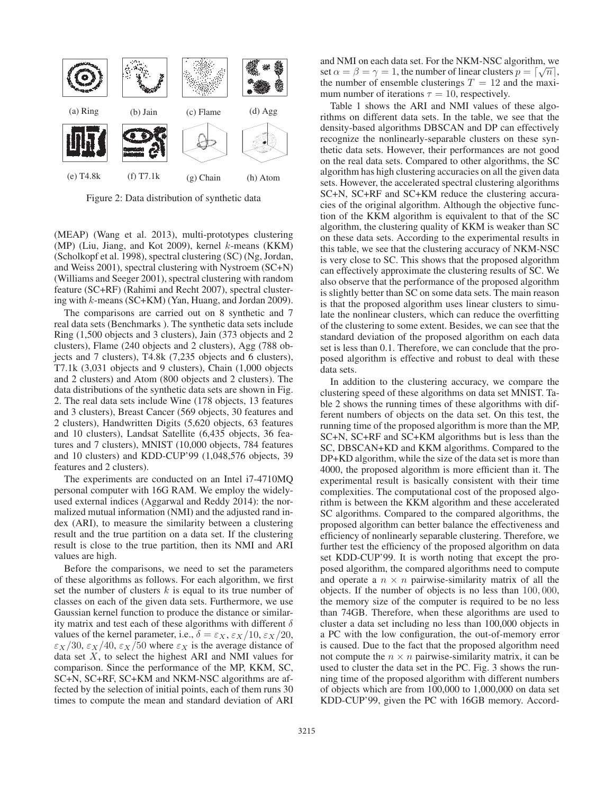

Figure 2: Data distribution of synthetic data

(MEAP) (Wang et al. 2013), multi-prototypes clustering (MP) (Liu, Jiang, and Kot 2009), kernel k-means (KKM) (Scholkopf et al. 1998), spectral clustering (SC) (Ng, Jordan, and Weiss 2001), spectral clustering with Nystroem (SC+N) (Williams and Seeger 2001), spectral clustering with random feature (SC+RF) (Rahimi and Recht 2007), spectral clustering with k-means (SC+KM) (Yan, Huang, and Jordan 2009).

The comparisons are carried out on 8 synthetic and 7 real data sets (Benchmarks ). The synthetic data sets include Ring (1,500 objects and 3 clusters), Jain (373 objects and 2 clusters), Flame (240 objects and 2 clusters), Agg (788 objects and 7 clusters), T4.8k (7,235 objects and 6 clusters), T7.1k (3,031 objects and 9 clusters), Chain (1,000 objects and 2 clusters) and Atom (800 objects and 2 clusters). The data distributions of the synthetic data sets are shown in Fig. 2. The real data sets include Wine (178 objects, 13 features and 3 clusters), Breast Cancer (569 objects, 30 features and 2 clusters), Handwritten Digits (5,620 objects, 63 features and 10 clusters), Landsat Satellite (6,435 objects, 36 features and 7 clusters), MNIST (10,000 objects, 784 features and 10 clusters) and KDD-CUP'99 (1,048,576 objects, 39 features and 2 clusters).

The experiments are conducted on an Intel i7-4710MQ personal computer with 16G RAM. We employ the widelyused external indices (Aggarwal and Reddy 2014): the normalized mutual information (NMI) and the adjusted rand index (ARI), to measure the similarity between a clustering result and the true partition on a data set. If the clustering result is close to the true partition, then its NMI and ARI values are high.

Before the comparisons, we need to set the parameters of these algorithms as follows. For each algorithm, we first set the number of clusters  $k$  is equal to its true number of classes on each of the given data sets. Furthermore, we use Gaussian kernel function to produce the distance or similarity matrix and test each of these algorithms with different  $\delta$ values of the kernel parameter, i.e.,  $\delta = \varepsilon_X$ ,  $\varepsilon_X/10$ ,  $\varepsilon_X/20$ ,  $\varepsilon_X/30$ ,  $\varepsilon_X/40$ ,  $\varepsilon_X/50$  where  $\varepsilon_X$  is the average distance of data set  $X$ , to select the highest ARI and NMI values for comparison. Since the performance of the MP, KKM, SC, SC+N, SC+RF, SC+KM and NKM-NSC algorithms are affected by the selection of initial points, each of them runs 30 times to compute the mean and standard deviation of ARI

and NMI on each data set. For the NKM-NSC algorithm, we and NNH on each data set. For the NNN-NSC algorithm, we<br>set  $\alpha = \beta = \gamma = 1$ , the number of linear clusters  $p = [\sqrt{n}]$ ,<br>the number of ensemble clusterings  $T = 12$  and the maxithe number of ensemble clusterings  $T = 12$  and the maximum number of iterations  $\tau = 10$ , respectively.

Table 1 shows the ARI and NMI values of these algorithms on different data sets. In the table, we see that the density-based algorithms DBSCAN and DP can effectively recognize the nonlinearly-separable clusters on these synthetic data sets. However, their performances are not good on the real data sets. Compared to other algorithms, the SC algorithm has high clustering accuracies on all the given data sets. However, the accelerated spectral clustering algorithms SC+N, SC+RF and SC+KM reduce the clustering accuracies of the original algorithm. Although the objective function of the KKM algorithm is equivalent to that of the SC algorithm, the clustering quality of KKM is weaker than SC on these data sets. According to the experimental results in this table, we see that the clustering accuracy of NKM-NSC is very close to SC. This shows that the proposed algorithm can effectively approximate the clustering results of SC. We also observe that the performance of the proposed algorithm is slightly better than SC on some data sets. The main reason is that the proposed algorithm uses linear clusters to simulate the nonlinear clusters, which can reduce the overfitting of the clustering to some extent. Besides, we can see that the standard deviation of the proposed algorithm on each data set is less than 0.1. Therefore, we can conclude that the proposed algorithm is effective and robust to deal with these data sets.

In addition to the clustering accuracy, we compare the clustering speed of these algorithms on data set MNIST. Table 2 shows the running times of these algorithms with different numbers of objects on the data set. On this test, the running time of the proposed algorithm is more than the MP, SC+N, SC+RF and SC+KM algorithms but is less than the SC, DBSCAN+KD and KKM algorithms. Compared to the DP+KD algorithm, while the size of the data set is more than 4000, the proposed algorithm is more efficient than it. The experimental result is basically consistent with their time complexities. The computational cost of the proposed algorithm is between the KKM algorithm and these accelerated SC algorithms. Compared to the compared algorithms, the proposed algorithm can better balance the effectiveness and efficiency of nonlinearly separable clustering. Therefore, we further test the efficiency of the proposed algorithm on data set KDD-CUP'99. It is worth noting that except the proposed algorithm, the compared algorithms need to compute and operate a  $n \times n$  pairwise-similarity matrix of all the objects. If the number of objects is no less than 100, 000, the memory size of the computer is required to be no less than 74GB. Therefore, when these algorithms are used to cluster a data set including no less than 100,000 objects in a PC with the low configuration, the out-of-memory error is caused. Due to the fact that the proposed algorithm need not compute the  $n \times n$  pairwise-similarity matrix, it can be used to cluster the data set in the PC. Fig. 3 shows the running time of the proposed algorithm with different numbers of objects which are from 100,000 to 1,000,000 on data set KDD-CUP'99, given the PC with 16GB memory. Accord-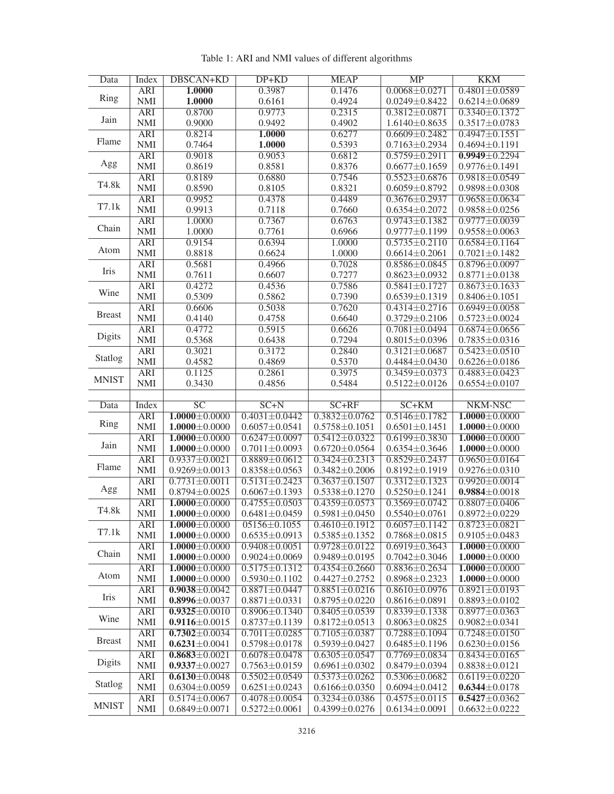| Data             | Index                    | DBSCAN+KD                                  | DP+KD                                      | <b>MEAP</b>                                | MP                                         | <b>KKM</b>                                 |
|------------------|--------------------------|--------------------------------------------|--------------------------------------------|--------------------------------------------|--------------------------------------------|--------------------------------------------|
|                  | <b>ARI</b>               | 1.0000                                     | 0.3987                                     | 0.1476                                     | $0.0068 \pm 0.0271$                        | $0.4801 \pm 0.0589$                        |
| Ring             | <b>NMI</b>               | 1.0000                                     | 0.6161                                     | 0.4924                                     | $0.0249 \pm 0.8422$                        | $0.6214 \pm 0.0689$                        |
|                  | <b>ARI</b>               | 0.8700                                     | 0.9773                                     | 0.2315                                     | $0.3812 \pm 0.0871$                        | $0.3340 \pm 0.1372$                        |
| Jain<br>Flame    | <b>NMI</b>               | 0.9000                                     | 0.9492                                     | 0.4902                                     | $1.6140 \pm 0.8635$                        | $0.3517 \pm 0.0783$                        |
|                  | <b>ARI</b>               | 0.8214                                     | <b>1.0000</b>                              | 0.6277                                     | $0.6609 \pm 0.2482$                        | $0.4947 \pm 0.1551$                        |
|                  | <b>NMI</b>               |                                            |                                            |                                            |                                            |                                            |
|                  |                          | 0.7464<br>0.9018                           | 1.0000<br>0.9053                           | 0.5393                                     | $0.7163 \pm 0.2934$<br>$0.5759 \pm 0.2911$ | $0.4694 \pm 0.1191$<br>$0.9949 \pm 0.2294$ |
| Agg              | <b>ARI</b>               |                                            |                                            | 0.6812                                     |                                            |                                            |
|                  | <b>NMI</b>               | 0.8619                                     | 0.8581                                     | 0.8376                                     | $0.6677 \pm 0.1659$                        | $0.9776 \pm 0.1491$                        |
| T4.8k            | <b>ARI</b>               | 0.8189                                     | 0.6880                                     | 0.7546                                     | $0.5523 + 0.6876$                          | $0.9818 \pm 0.0549$                        |
|                  | <b>NMI</b>               | 0.8590                                     | 0.8105                                     | 0.8321                                     | $0.6059 \pm 0.8792$                        | $0.9898 \pm 0.0308$                        |
| $T7.1\mathrm{k}$ | <b>ARI</b>               | 0.9952                                     | 0.4378                                     | 0.4489                                     | $0.3676 \pm 0.2937$                        | $0.9658 \pm 0.0634$                        |
|                  | <b>NMI</b>               | 0.9913                                     | 0.7118                                     | 0.7660                                     | $0.6354 \pm 0.2072$                        | $0.9858 \pm 0.0256$                        |
| Chain            | <b>ARI</b>               | 1.0000                                     | 0.7367                                     | 0.6763                                     | $0.9743 \pm 0.1382$                        | $0.9777 \pm 0.0039$                        |
|                  | <b>NMI</b>               | 1.0000                                     | 0.7761                                     | 0.6966                                     | $0.9777 \pm 0.1199$                        | $0.9558 \pm 0.0063$                        |
|                  | <b>ARI</b>               | 0.9154                                     | 0.6394                                     | 1.0000                                     | $0.5735 \pm 0.2110$                        | $0.6584 \pm 0.1164$                        |
| Atom             | <b>NMI</b>               | 0.8818                                     | 0.6624                                     | 1.0000                                     | $0.6614 \pm 0.2061$                        | $0.7021 \pm 0.1482$                        |
|                  | <b>ARI</b>               | 0.5681                                     | 0.4966                                     | 0.7028                                     | $0.8586 \pm 0.0845$                        | $0.8796 \pm 0.0097$                        |
| Iris             | <b>NMI</b>               | 0.7611                                     | 0.6607                                     | 0.7277                                     | $0.8623 \pm 0.0932$                        | $0.8771 \pm 0.0138$                        |
|                  | <b>ARI</b>               | 0.4272                                     | 0.4536                                     | 0.7586                                     | $0.5841 \pm 0.1727$                        | $0.8673 \pm 0.1633$                        |
| Wine             | <b>NMI</b>               | 0.5309                                     | 0.5862                                     | 0.7390                                     | $0.6539 \pm 0.1319$                        | $0.8406 \pm 0.1051$                        |
| <b>Breast</b>    | <b>ARI</b>               | 0.6606                                     | 0.5038                                     | 0.7620                                     | $0.4314 \pm 0.2716$                        | $0.6949 \pm 0.0058$                        |
|                  | <b>NMI</b>               | 0.4140                                     | 0.4758                                     | 0.6640                                     | $0.3729 \pm 0.2106$                        | $0.5723 \pm 0.0024$                        |
|                  | <b>ARI</b>               | 0.4772                                     | 0.5915                                     | 0.6626                                     | $0.7081 \pm 0.0494$                        | $0.6874 \pm 0.0656$                        |
| Digits           | <b>NMI</b>               | 0.5368                                     | 0.6438                                     | 0.7294                                     | $0.8015 \pm 0.0396$                        | $0.7835 \pm 0.0316$                        |
|                  | <b>ARI</b>               | 0.3021                                     | 0.3172                                     | 0.2840                                     | $0.3121 \pm 0.0687$                        | $0.5423 \pm 0.0510$                        |
| Statlog          | <b>NMI</b>               | 0.4582                                     | 0.4869                                     | 0.5370                                     | $0.4484 \pm 0.0430$                        | $0.6226 \pm 0.0186$                        |
|                  | <b>ARI</b>               | 0.1125                                     | 0.2861                                     | 0.3975                                     | $0.3459 \pm 0.0373$                        | $0.4883 \pm 0.0423$                        |
| <b>MNIST</b>     | <b>NMI</b>               | 0.3430                                     | 0.4856                                     | 0.5484                                     | $0.5122 \pm 0.0126$                        | $0.6554 \pm 0.0107$                        |
|                  |                          |                                            |                                            |                                            |                                            |                                            |
|                  |                          |                                            |                                            |                                            |                                            |                                            |
|                  |                          | $\overline{SC}$                            | $SC+N$                                     | $SC+RF$                                    |                                            |                                            |
| Data             | Index                    |                                            |                                            |                                            | $SC+KM$                                    | NKM-NSC                                    |
| Ring             | <b>ARI</b>               | $1.0000 \pm 0.0000$                        | $0.4031 \pm 0.0442$                        | $0.3832 \pm 0.0762$                        | $0.5146 \pm 0.1782$                        | $1.0000 \pm 0.0000$                        |
|                  | <b>NMI</b>               | $1.0000 \pm 0.0000$                        | $0.6057 \pm 0.0541$                        | $0.5758 \pm 0.1051$                        | $0.6501 \pm 0.1451$                        | $1.0000 \pm 0.0000$                        |
| Jain             | <b>ARI</b>               | $1.0000 \pm 0.0000$                        | $0.6247 \pm 0.0097$                        | $0.5412 \pm 0.0322$                        | $0.6199 \pm 0.3830$                        | $1.0000 \pm 0.0000$                        |
|                  | <b>NMI</b>               | $1.0000 \pm 0.0000$                        | $0.7011 \pm 0.0093$                        | $0.6720 \pm 0.0564$                        | $0.6354 \pm 0.3646$                        | $1.0000 \pm 0.0000$                        |
| Flame            | <b>ARI</b>               | $0.9337 \pm 0.0021$                        | $0.8889 \pm 0.0612$                        | $0.3424 \pm 0.2313$                        | $0.8529 \pm 0.2437$                        | $0.9650 \pm 0.0164$                        |
|                  | <b>NMI</b>               | $0.9269 \pm 0.0013$                        | $0.8358 \pm 0.0563$                        | $0.3482 \pm 0.2006$                        | $0.8192 \pm 0.1919$                        | $0.9276 \pm 0.0310$                        |
|                  | <b>ARI</b>               | $0.7731 \pm 0.0011$                        | $0.5131 \pm 0.2423$                        | $0.3637 \pm 0.1507$                        | $0.3312 \pm 0.1323$                        | $0.9920 \pm 0.0014$                        |
| Agg              | <b>NMI</b>               | $0.8794 \pm 0.0025$                        | $0.6067 \pm 0.1393$                        | $0.5338 \pm 0.1270$                        | $0.5250 \pm 0.1241$                        | $0.9884 \pm 0.0018$                        |
| T4.8k            | <b>ARI</b>               | $1.0000 \pm 0.0000$                        | $0.4755 \pm 0.0503$                        | $0.4359 \pm 0.0573$                        | $0.3569 \pm 0.0742$                        | $0.8807 \pm 0.0406$                        |
|                  | <b>NMI</b>               | $1.0000 \pm 0.0000$                        | $0.6481 \pm 0.0459$                        | $0.5981 \pm 0.0450$                        | $0.5540 \pm 0.0761$                        | $0.8972 \pm 0.0229$                        |
| T7.1k            | ARI                      | $1.0000 \pm 0.0000$                        | $05156 \pm 0.1055$                         | $0.4610 \pm 0.1912$                        | $0.6057 \pm 0.1142$                        | $0.8723 \pm 0.0821$                        |
|                  | <b>NMI</b>               | $1.0000 \pm 0.0000$                        | $0.6535 \pm 0.0913$                        | $0.5385 \pm 0.1352$                        | $0.7868 \pm 0.0815$                        | $0.9105 \pm 0.0483$                        |
| Chain            | <b>ARI</b>               | $1.0000 \pm 0.0000$                        | $0.9408 \pm 0.0051$                        | $0.9728 \pm 0.0122$                        | $0.6919 \pm 0.3643$                        | $1.0000 \pm 0.0000$                        |
|                  | <b>NMI</b>               | $1.0000 \pm 0.0000$                        | $0.9024 \pm 0.0069$                        | $0.9489 \pm 0.0195$                        | $0.7042 \pm 0.3046$                        | $1.0000 \pm 0.0000$                        |
| Atom             | ARI                      | $1.0000 \pm 0.0000$                        | $0.5175 \pm 0.1312$                        | $0.4354 \pm 0.2660$                        | $0.8836 \pm 0.2634$                        | $1.0000 \pm 0.0000$                        |
|                  | <b>NMI</b>               | $1.0000 \pm 0.0000$                        | $0.5930 \pm 0.1102$                        | $0.4427 \pm 0.2752$                        | $0.8968 \pm 0.2323$                        | $1.0000 \pm 0.0000$                        |
| Iris             | <b>ARI</b>               | $0.9038 \pm 0.0042$                        | $0.8871 \pm 0.0447$                        | $0.8851 \pm 0.0216$                        | $0.8610 \pm 0.0976$                        | $0.8921 \pm 0.0193$                        |
|                  | <b>NMI</b>               | $0.8996 \pm 0.0037$                        | $0.8871 \pm 0.0331$                        | $0.8795 \pm 0.0220$                        | $0.8616 \pm 0.0891$                        | $0.8893 \pm 0.0102$                        |
|                  | <b>ARI</b>               | $0.9325 \pm 0.0010$                        | $0.8906 \pm 0.1340$                        | $0.8405 \pm 0.0539$                        | $0.8339 \pm 0.1338$                        | $0.8977 \pm 0.0363$                        |
| Wine             | <b>NMI</b>               | $0.9116 \pm 0.0015$                        | $0.8737 \pm 0.1139$                        | $0.8172 \pm 0.0513$                        | $0.8063 \pm 0.0825$                        | $0.9082 \pm 0.0341$                        |
|                  | <b>ARI</b>               | $0.7302 \pm 0.0034$                        | $0.7011 \pm 0.0285$                        | $0.7105 \pm 0.0387$                        | $0.7288 \pm 0.1094$                        | $0.7248 \pm 0.0150$                        |
| <b>Breast</b>    | <b>NMI</b>               | $0.6231 \pm 0.0041$                        | $0.5798 \pm 0.0178$                        | $0.5939 \pm 0.0427$                        | $0.6485 \pm 0.1196$                        | $0.6230 \pm 0.0156$                        |
|                  | <b>ARI</b>               | $0.8683 \pm 0.0021$                        | $0.6078 \pm 0.0478$                        | $0.6305 \pm 0.0547$                        | $0.7769 \pm 0.0834$                        | $0.8434 \pm 0.0165$                        |
| <b>Digits</b>    | <b>NMI</b>               | $0.9337 + 0.0027$                          | $0.7563 \pm 0.0159$                        | $0.6961 \pm 0.0302$                        | $0.8479 \pm 0.0394$                        | $0.8838 \pm 0.0121$                        |
|                  | <b>ARI</b>               | $0.6130 \pm 0.0048$                        | $0.5502 \pm 0.0549$                        | $0.5373 \pm 0.0262$                        | $0.5306 \pm 0.0682$                        | $0.6119 \pm 0.0220$                        |
| Statlog          | <b>NMI</b>               | $0.6304 \pm 0.0059$                        | $0.6251 \pm 0.0243$                        | $0.6166 \pm 0.0350$                        | $0.6094 \pm 0.0412$                        | $0.6344 \pm 0.0178$                        |
| <b>MNIST</b>     | <b>ARI</b><br><b>NMI</b> | $0.5174 \pm 0.0067$<br>$0.6849 \pm 0.0071$ | $0.4078 \pm 0.0054$<br>$0.5272 \pm 0.0061$ | $0.3234 \pm 0.0386$<br>$0.4399 \pm 0.0276$ | $0.4575 \pm 0.0115$<br>$0.6134 \pm 0.0091$ | $0.5427 \pm 0.0362$<br>$0.6632 \pm 0.0222$ |

Table 1: ARI and NMI values of different algorithms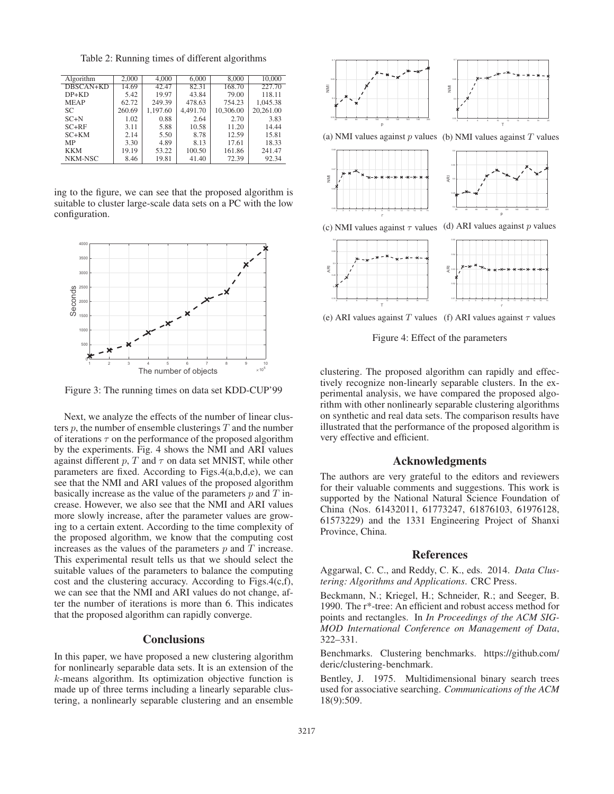Table 2: Running times of different algorithms

| Algorithm   | 2.000  | 4,000    | 6,000    | 8.000     | 10,000    |
|-------------|--------|----------|----------|-----------|-----------|
| DBSCAN+KD   | 14.69  | 42.47    | 82.31    | 168.70    | 227.70    |
| $DP+KD$     | 5.42   | 19.97    | 43.84    | 79.00     | 118.11    |
| <b>MEAP</b> | 62.72  | 249.39   | 478.63   | 754.23    | 1.045.38  |
| SC.         | 260.69 | 1.197.60 | 4.491.70 | 10.306.00 | 20.261.00 |
| $SC+N$      | 1.02   | 0.88     | 2.64     | 2.70      | 3.83      |
| $SC+RF$     | 3.11   | 5.88     | 10.58    | 11.20     | 14.44     |
| $SC+KM$     | 2.14   | 5.50     | 8.78     | 12.59     | 15.81     |
| MP          | 3.30   | 4.89     | 8.13     | 17.61     | 18.33     |
| <b>KKM</b>  | 19.19  | 53.22    | 100.50   | 161.86    | 241.47    |
| NKM-NSC     | 8.46   | 19.81    | 41.40    | 72.39     | 92.34     |

ing to the figure, we can see that the proposed algorithm is suitable to cluster large-scale data sets on a PC with the low configuration.



Figure 3: The running times on data set KDD-CUP'99

Next, we analyze the effects of the number of linear clusters  $p$ , the number of ensemble clusterings  $T$  and the number of iterations  $\tau$  on the performance of the proposed algorithm by the experiments. Fig. 4 shows the NMI and ARI values against different  $p$ ,  $T$  and  $\tau$  on data set MNIST, while other parameters are fixed. According to Figs.4(a,b,d,e), we can see that the NMI and ARI values of the proposed algorithm basically increase as the value of the parameters  $p$  and  $T$  increase. However, we also see that the NMI and ARI values more slowly increase, after the parameter values are growing to a certain extent. According to the time complexity of the proposed algorithm, we know that the computing cost increases as the values of the parameters  $p$  and  $T$  increase. This experimental result tells us that we should select the suitable values of the parameters to balance the computing cost and the clustering accuracy. According to Figs.4(c,f), we can see that the NMI and ARI values do not change, after the number of iterations is more than 6. This indicates that the proposed algorithm can rapidly converge.

# **Conclusions**

In this paper, we have proposed a new clustering algorithm for nonlinearly separable data sets. It is an extension of the k-means algorithm. Its optimization objective function is made up of three terms including a linearly separable clustering, a nonlinearly separable clustering and an ensemble



(a) NMI values against  $p$  values (b) NMI values against  $T$  values



(c) NMI values against  $\tau$  values (d) ARI values against p values



(e) ARI values against T values (f) ARI values against  $\tau$  values

Figure 4: Effect of the parameters

clustering. The proposed algorithm can rapidly and effectively recognize non-linearly separable clusters. In the experimental analysis, we have compared the proposed algorithm with other nonlinearly separable clustering algorithms on synthetic and real data sets. The comparison results have illustrated that the performance of the proposed algorithm is very effective and efficient.

### Acknowledgments

The authors are very grateful to the editors and reviewers for their valuable comments and suggestions. This work is supported by the National Natural Science Foundation of China (Nos. 61432011, 61773247, 61876103, 61976128, 61573229) and the 1331 Engineering Project of Shanxi Province, China.

#### References

Aggarwal, C. C., and Reddy, C. K., eds. 2014. *Data Clustering: Algorithms and Applications*. CRC Press.

Beckmann, N.; Kriegel, H.; Schneider, R.; and Seeger, B. 1990. The r\*-tree: An efficient and robust access method for points and rectangles. In *In Proceedings of the ACM SIG-MOD International Conference on Management of Data*, 322–331.

Benchmarks. Clustering benchmarks. https://github.com/ deric/clustering-benchmark.

Bentley, J. 1975. Multidimensional binary search trees used for associative searching. *Communications of the ACM* 18(9):509.